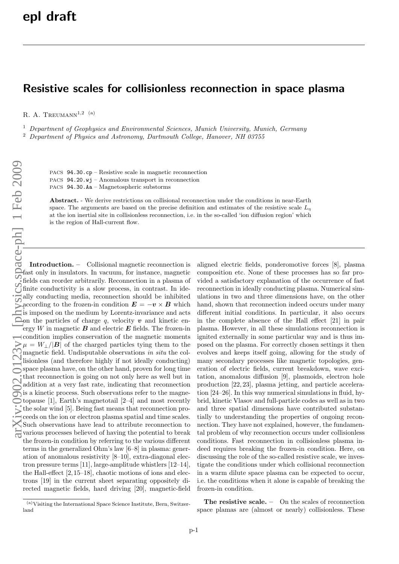## Resistive scales for collisionless reconnection in space plasma

R. A. TREUMANN<sup>1,2 (a)</sup>

 $1$  Department of Geophysics and Environmental Sciences, Munich University, Munich, Germany

<sup>2</sup> Department of Physics and Astronomy, Dartmouth College, Hanover, NH 03755

PACS 94.30.cp – Resistive scale in magnetic reconnection PACS 94.20.wj – Anomalous transport in reconnection

PACS 94.30.Aa – Magnetospheric substorms

Abstract. - We derive restrictions on collisional reconnection under the conditions in near-Earth space. The arguments are based on the precise definition and estimates of the resistive scale  $L_n$ at the ion inertial site in collisionless reconnection, i.e. in the so-called 'ion diffusion region' which is the region of Hall-current flow.

Introduction. – Collisional magnetic reconnection is fast only in insulators. In vacuum, for instance, magnetic fields can reorder arbitrarily. Reconnection in a plasma of finite conductivity is a slow process, in contrast. In ideally conducting media, reconnection should be inhibited according to the frozen-in condition  $E = -v \times B$  which is imposed on the medium by Lorentz-invariance and acts on the particles of charge  $q$ , velocity  $\boldsymbol{v}$  and kinetic energy W in magnetic  $B$  and electric  $E$  fields. The frozen-in condition implies conservation of the magnetic moments  $\mu = W_{\perp}/|\mathbf{B}|$  of the charged particles tying them to the magnetic field. Undisputable observations in situ the collisionless (and therefore highly if not ideally conducting) space plasma have, on the other hand, proven for long time that reconnection is going on not only here as well but in addition at a very fast rate, indicating that reconnection is a kinetic process. Such observations refer to the magnetopause [1], Earth's magnetotail [2–4] and most recently to pause  $\lfloor 1 \rfloor$ ,  $\lfloor 1 \rfloor$ ,  $\lfloor 1 \rfloor$  being fast means that reconnection proceeds on the ion or electron plasma spatial and time scales. Such observations have lead to attribute reconnection to various processes believed of having the potential to break the frozen-in condition by referring to the various different terms in the generalized Ohm's law [6–8] in plasma: generation of anomalous resistivity [8–10], extra-diagonal electron pressure terms [11], large-amplitude whistlers [12–14], the Hall-effect [2, 15–18], chaotic motions of ions and electrons [19] in the current sheet separating oppositely directed magnetic fields, hard driving [20], magnetic-field

aligned electric fields, ponderomotive forces [8], plasma composition etc. None of these processes has so far provided a satisfactory explanation of the occurrence of fast reconnection in ideally conducting plasma. Numerical simulations in two and three dimensions have, on the other hand, shown that reconnection indeed occurs under many different initial conditions. In particular, it also occurs in the complete absence of the Hall effect [21] in pair plasma. However, in all these simulations reconnection is ignited externally in some particular way and is thus imposed on the plasma. For correctly chosen settings it then evolves and keeps itself going, allowing for the study of many secondary processes like magnetic topologies, generation of electric fields, current breakdown, wave excitation, anomalous diffusion [9], plasmoids, electron hole production [22, 23], plasma jetting, and particle acceleration [24–26]. In this way numerical simulations in fluid, hybrid, kinetic Vlasov and full-particle codes as well as in two and three spatial dimensions have contributed substantially to understanding the properties of ongoing reconnection. They have not explained, however, the fundamental problem of why reconnection occurs under collisionless conditions. Fast reconnection in collisionless plasma indeed requires breaking the frozen-in condition. Here, on discussing the role of the so-called resistive scale, we investigate the conditions under which collisional reconnection in a warm dilute space plasma can be expected to occur, i.e. the conditions when it alone is capable of breaking the frozen-in condition.

The resistive scale. – On the scales of reconnection space plamas are (almost or nearly) collisionless. These

<sup>(</sup>a)Visiting the International Space Science Institute, Bern, Switzerland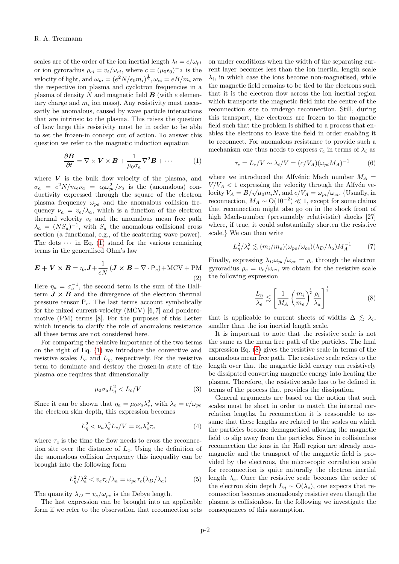scales are of the order of the ion inertial length  $\lambda_i = c/\omega_{pi}$ or ion gyroradius  $\rho_{ci} = v_i/\omega_{ci}$ , where  $c = (\mu_0 \epsilon_0)^{-\frac{1}{2}}$  is the velocity of light, and  $\omega_{pi} = (e^2 N / \epsilon_0 m_i)^{\frac{1}{2}}, \omega_{ci} = eB/m_i$  are the respective ion plasma and cyclotron frequencies in a plasma of density N and magnetic field  $\boldsymbol{B}$  (with e elementary charge and  $m_i$  ion mass). Any resistivity must necessarily be anomalous, caused by wave particle interactions that are intrinsic to the plasma. This raises the question of how large this resistivity must be in order to be able to set the frozen-in concept out of action. To answer this question we refer to the magnetic induction equation

<span id="page-1-0"></span>
$$
\frac{\partial \boldsymbol{B}}{\partial t} = \nabla \times \boldsymbol{V} \times \boldsymbol{B} + \frac{1}{\mu_0 \sigma_a} \nabla^2 \boldsymbol{B} + \cdots
$$
 (1)

where  $V$  is the bulk flow velocity of the plasma, and  $\sigma_a = e^2 N/m_e \nu_a = \epsilon_0 \omega_{pe}^2/\nu_a$  is the (anomalous) conductivity expressed through the square of the electron plasma frequency  $\omega_{pe}$  and the anomalous collision frequency  $\nu_a = v_e/\lambda_a$ , which is a function of the electron thermal velocity  $v_e$  and the anomalous mean free path  $\lambda_a = (NS_a)^{-1}$ , with  $S_a$  the anomalous collisional cross section (a functional, e.g., of the scattering wave power). The dots  $\cdots$  in Eq. [\(1\)](#page-1-0) stand for the various remaining terms in the generalised Ohm's law

<span id="page-1-2"></span>
$$
\boldsymbol{E} + \boldsymbol{V} \times \boldsymbol{B} = \eta_a \boldsymbol{J} + \frac{1}{eN} (\boldsymbol{J} \times \boldsymbol{B} - \nabla \cdot \mathsf{P}_e) + \text{MCV} + \text{PM}
$$
\n(2)

Here  $\eta_a = \sigma_a^{-1}$ , the second term is the sum of the Hallterm  $J \times B$  and the divergence of the electron thermal pressure tensor  $P_e$ . The last terms account symbolically for the mixed current-velocity (MCV) [6, 7] and ponderomotive (PM) terms [8]. For the purposes of this Letter which intends to clarify the role of anomalous resistance all these terms are not considered here.

For comparing the relative importance of the two terms on the right of Eq. [\(1\)](#page-1-0) we introduce the convective and resistive scales  $L_c$  and  $L_{\eta}$ , respectively. For the resistive term to dominate and destroy the frozen-in state of the plasma one requires that dimensionally

$$
\mu_0 \sigma_a L_\eta^2 < L_c / V \tag{3}
$$

Since it can be shown that  $\eta_a = \mu_0 \nu_a \lambda_e^2$ , with  $\lambda_e = c/\omega_{pe}$ the electron skin depth, this expression becomes

$$
L_{\eta}^2 < \nu_a \lambda_e^2 L_c / V = \nu_a \lambda_e^2 \tau_c \tag{4}
$$

where  $\tau_c$  is the time the flow needs to cross the reconnection site over the distance of  $L_c$ . Using the definition of the anomalous collision frequency this inequality can be brought into the following form

$$
L_{\eta}^{2}/\lambda_{e}^{2} < v_{e}\tau_{c}/\lambda_{a} = \omega_{pe}\tau_{c}(\lambda_{D}/\lambda_{a}) \tag{5}
$$

The quantity  $\lambda_D = v_e/\omega_{pe}$  is the Debye length.

The last expression can be brought into an applicable form if we refer to the observation that reconnection sets

on under conditions when the width of the separating current layer becomes less than the ion inertial length scale  $\lambda_i$ , in which case the ions become non-magnetised, while the magnetic field remains to be tied to the electrons such that it is the electron flow across the ion inertial region which transports the magnetic field into the centre of the reconnection site to undergo reconnection. Still, during this transport, the electrons are frozen to the magnetic field such that the problem is shifted to a process that enables the electrons to leave the field in order enabling it to reconnect. For anomalous resistance to provide such a mechanism one thus needs to express  $\tau_c$  in terms of  $\lambda_i$  as

$$
\tau_c = L_c/V \sim \lambda_i/V = (c/V_A)(\omega_{pi} M_A)^{-1}
$$
 (6)

where we introduced the Alfvénic Mach number  $M_A$  =  $V/V_A < 1$  expressing the velocity through the Alfvén ve- $V/V_A < 1$  expressing the velocity through the Allven velocity  $V_A = B/\sqrt{\mu_0 m_i N}$ , and  $c/V_A = \omega_{pi}/\omega_{ci}$ . {Usually, in reconnection,  $M_A \sim O(10^{-2}) \ll 1$ , except for some claims that reconnection might also go on in the shock front of high Mach-number (presumably relativistic) shocks [27] where, if true, it could substantially shorten the resistive scale.} We can then write

$$
L_{\eta}^{2}/\lambda_{e}^{2} \lesssim (m_{i}/m_{e})(\omega_{pe}/\omega_{ce})(\lambda_{D}/\lambda_{a})M_{A}^{-1}
$$
 (7)

Finally, expressing  $\lambda_D \omega_{pe}/\omega_{ce} = \rho_e$  through the electron gyroradius  $\rho_e = v_e/\omega_{ce}$ , we obtain for the resistive scale the following expression

<span id="page-1-1"></span>
$$
\frac{L_{\eta}}{\lambda_e} \lesssim \left[ \frac{1}{M_A} \left( \frac{m_i}{m_e} \right)^{\frac{1}{2}} \frac{\rho_i}{\lambda_a} \right]^{\frac{1}{2}} \tag{8}
$$

that is applicable to current sheets of widths  $\Delta \leq \lambda_i$ , smaller than the ion inertial length scale.

It is important to note that the resistive scale is not the same as the mean free path of the particles. The final expression Eq. [\(8\)](#page-1-1) gives the resistive scale in terms of the anomalous mean free path. The resistive scale refers to the length over that the magnetic field energy can resistively be dissipated converting magnetic energy into heating the plasma. Therefore, the resistive scale has to be defined in terms of the process that provides the dissipation.

General arguments are based on the notion that such scales must be short in order to match the internal correlation lengths. In reconnection it is reasonable to assume that these lengths are related to the scales on which the particles become demagnetised allowing the magnetic field to slip away from the particles. Since in collisionless reconnection the ions in the Hall region are already nonmagnetic and the transport of the magnetic field is provided by the electrons, the microscopic correlation scale for reconnection is quite naturally the electron inertial length  $\lambda_e$ . Once the resistive scale becomes the order of the electron skin depth  $L_n \sim O(\lambda_e)$ , one expects that reconnection becomes anomalously resistive even though the plasma is collisionless. In the following we investigate the consequences of this assumption.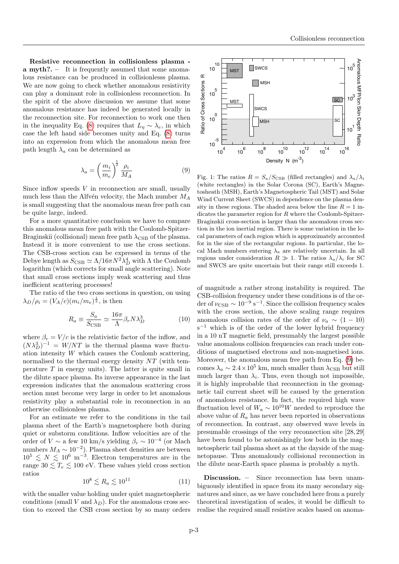Resistive reconnection in collisionless plasma a myth?. – It is frequently assumed that some anomalous resistance can be produced in collisionlesss plasma. We are now going to check whether anomalous resistivity can play a dominant role in collisionless reconnection. In the spirit of the above discussion we assume that some anomalous resistance has indeed be generated locally in the reconnection site. For reconnection to work one then in the inequality Eq. [\(8\)](#page-1-1) requires that  $L_n \sim \lambda_e$ , in which case the left hand side becomes unity and Eq. [\(8\)](#page-1-1) turns into an expression from which the anomalous mean free path length  $\lambda_a$  can be determined as

<span id="page-2-0"></span>
$$
\lambda_a = \left(\frac{m_i}{m_e}\right)^{\frac{1}{2}} \frac{\rho_i}{M_A} \tag{9}
$$

Since inflow speeds  $V$  in reconnection are small, usually much less than the Alfvén velocity, the Mach number  $M_A$ is small suggesting that the anomalous mean free path can be quite large, indeed.

For a more quantitative conclusion we have to compare this anomalous mean free path with the Coulomb-Spitzer-Braginskii (collisional) mean free path  $\lambda_{\text{CSB}}$  of the plasma. Instead it is more convenient to use the cross sections. The CSB-cross section can be expressed in terms of the Debye length as  $S_{\text{CSB}} \simeq \Lambda/16\pi N^2 \lambda_D^4$  with  $\Lambda$  the Coulomb logarithm (which corrects for small angle scattering). Note that small cross sections imply weak scattering and thus inefficient scattering processes!

The ratio of the two cross sections in question, on using  $\lambda_D/\rho_i = (V_A/c)(m_i/m_e)^{\frac{1}{2}}$ , is then

$$
R_a \equiv \frac{S_a}{S_{\text{CSB}}} \simeq \frac{16\pi}{\Lambda} \beta_r N \lambda_D^3 \tag{10}
$$

where  $\beta_r = V/c$  is the relativistic factor of the inflow, and  $(N\lambda_D^3)^{-1} = W/NT$  is the thermal plasma wave fluctuation intensity W which causes the Coulomb scattering, normalised to the thermal energy density  $NT$  (with temperature  $T$  in energy units). The latter is quite small in the dilute space plasma. Its inverse appearance in the last expression indicates that the anomalous scattering cross section must become very large in order to let anomalous resistivity play a substantial role in reconnection in an otherwise collisionless plasma.

For an estimate we refer to the conditions in the tail plasma sheet of the Earth's magnetosphere both during quiet or substorm conditions. Inflow velocities are of the order of  $V \sim$  a few 10 km/s yielding  $\beta_r \sim 10^{-4}$  (or Mach numbers  $M_A \sim 10^{-2}$ ). Plasma sheet densities are between  $10^5 \leq N \leq 10^6$  m<sup>-3</sup>. Electron temperatures are in the range  $30 \leq T_e \leq 100$  eV. These values yield cross section ratios

$$
10^8 \lesssim R_a \lesssim 10^{11} \tag{11}
$$

with the smaller value holding under quiet magnetospheric conditions (small V and  $\lambda_D$ ). For the anomalous cross section to exceed the CSB cross section by so many orders



<span id="page-2-1"></span>Fig. 1: The ratios  $R = S_a/S_{\text{CSB}}$  (filled rectangles) and  $\lambda_a/\lambda_i$ (white rectangles) in the Solar Corona (SC), Earth's Magnetosheath (MSH), Earth's Magnetospheric Tail (MST) and Solar Wind Current Sheet (SWCS) in dependence on the plasma density in these regions. The shaded area below the line  $R = 1$  indicates the parameter region for  $R$  where the Coulomb-Spitzer-Braginskii cross-section is larger than the anomalous cross section in the ion inertial region. There is some variation in the local parameters of each region which is approximately accounted for in the size of the rectangular regions. In particular, the local Mach numbers entering  $\lambda_a$  are relatively uncertain. In all regions under consideration  $R \gg 1$ . The ratios  $\lambda_a/\lambda_i$  for SC and SWCS are quite uncertain but their range still exceeds 1.

of magnitude a rather strong instability is required. The CSB-collision frequency under these conditions is of the order of  $\nu_{\text{CSB}} \sim 10^{-9} \text{ s}^{-1}$ . Since the collision frequency scales with the cross section, the above scaling range requires anomalous collision rates of the order of  $\nu_a \sim (1 - 10)$  $s^{-1}$  which is of the order of the lower hybrid frequency in a 10 nT magnetic field, presumably the largest possible value anomalous collision frequencies can reach under conditions of magnetised electrons and non-magnetised ions. Moreover, the anomalous mean free path from Eq. [\(9\)](#page-2-0) becomes  $\lambda_a \sim 2.4 \times 10^5$  km, much smaller than  $\lambda_{\text{CSB}}$  but still much larger than  $\lambda_i$ . Thus, even though not impossible, it is highly improbable that reconnection in the geomagnetic tail current sheet will be caused by the generation of anomalous resistance. In fact, the required high wave fluctuation level of  $W_a \sim 10^{10} W$  needed to reproduce the above value of  $R_a$  has never been reported in observations of reconnection. In contrast, any observed wave levels in presumable crossings of the very reconnection site [28, 29] have been found to be astonishingly low both in the magnetospheric tail plasma sheet as at the dayside of the magnetopause. Thus anomalously collisional reconnection in the dilute near-Earth space plasma is probably a myth.

Discussion. – Since reconnection has been unambiguously identified in space from its many secondary signatures and since, as we have concluded here from a purely theoretical investigation of scales, it would be difficult to realise the required small resistive scales based on anoma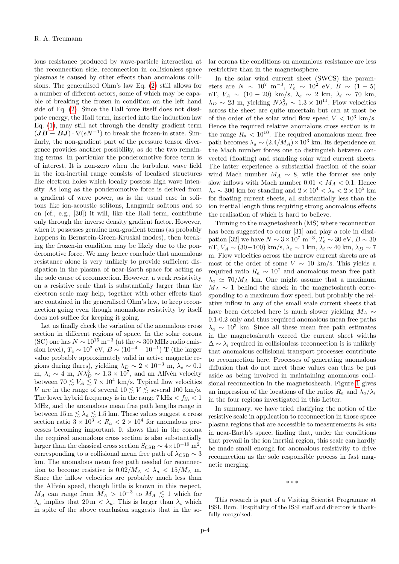lous resistance produced by wave-particle interaction at the reconnection side, reconnection in collisionless space plasmas is caused by other effects than anomalous collisions. The generalised Ohm's law Eq. [\(2\)](#page-1-2) still allows for a number of different actors, some of which may be capable of breaking the frozen in condition on the left hand side of Eq. [\(2\)](#page-1-2). Since the Hall force itself does not dissipate energy, the Hall term, inserted into the induction law Eq. [\(1\)](#page-1-0), may still act through the density gradient term  $(\mathbf{J}\mathbf{B}-\mathbf{B}\mathbf{J})\cdot\nabla(eN^{-1})$  to break the frozen-in state. Similarly, the non-gradient part of the pressure tensor divergence provides another possibility, as do the two remaining terms. In particular the ponderomotive force term is of interest. It is non-zero when the turbulent wave field in the ion-inertial range consists of localised structures like electron holes which locally possess high wave intensity. As long as the ponderomotive force is derived from a gradient of wave power, as is the usual case in solitons like ion-acoustic solitons, Langmuir solitons and so on (cf., e.g., [30]) it will, like the Hall term, contribute only through the inverse density gradient factor. However, when it possesses genuine non-gradient terms (as probably happens in Bernstein-Green-Kruskal modes), then breaking the frozen-in condition may be likely due to the ponderomotive force. We may hence conclude that anomalous resistance alone is very unlikely to provide sufficient dissipation in the plasma of near-Earth space for acting as the sole cause of reconnection. However, a weak resistivity on a resistive scale that is substantially larger than the electron scale may help, together with other effects that are contained in the generalised Ohm's law, to keep reconnection going even though anomalous resistivity by itself does not suffice for keeping it going.

Let us finally check the variation of the anomalous cross section in different regions of space. In the solar corona (SC) one has  $N \sim 10^{15} \text{ m}^{-3}$  (at the  $\sim 300 \text{ MHz}$  radio emission level),  $T_e \sim 10^2 \text{ eV}, B \sim (10^{-4} - 10^{-1}) \text{ T}$  (the larger value probably approximately valid in active magnetic regions during flares), yielding  $\lambda_D \sim 2 \times 10^{-3}$  m,  $\lambda_e \sim 0.1$ m,  $\lambda_i \sim 4$  m,  $N\lambda_D^3 \sim 1.3 \times 10^7$ , and an Alfvén velocity between  $70 \lesssim V_A \lesssim 7 \times 10^4$  km/s. Typical flow velocities V are in the range of several  $10 \le V \le$  several 100 km/s. The lower hybrid frequency is in the range  $7 \text{ kHz} < f_{lh} < 1$ MHz, and the anomalous mean free path lengths range in between  $15 \,\mathrm{m} \lesssim \lambda_a \lesssim 1.5 \,\mathrm{km}$ . These values suggest a cross section ratio  $3 \times 10^3 < R_a < 2 \times 10^4$  for anomalous processes becoming important. It shows that in the corona the required anomalous cross section is also substantially larger than the classical cross section  $S_{\text{CSB}} \sim 4 \times 10^{-19} \text{ m}^2$ , corresponding to a collisional mean free path of  $\lambda_{\text{CSB}} \sim 3$ km. The anomalous mean free path needed for reconnection to become resistive is  $0.02/M_A < \lambda_a < 15/M_A$  m. Since the inflow velocities are probably much less than the Alfvén speed, though little is known in this respect,  $M_A$  can range from  $M_A > 10^{-3}$  to  $M_A \leq 1$  which for  $\lambda_a$  implies that  $20 \text{ m} < \lambda_a$ . This is larger than  $\lambda_i$  which in spite of the above conclusion suggests that in the solar corona the conditions on anomalous resistance are less restrictive than in the magnetosphere.

In the solar wind current sheet (SWCS) the parameters are  $N \sim 10^7 \text{ m}^{-3}$ ,  $T_e \sim 10^2 \text{ eV}$ ,  $B \sim (1-5)$ nT,  $V_A \sim (10 - 20)$  km/s,  $\lambda_e \sim 2$  km,  $\lambda_i \sim 70$  km,  $\lambda_D \sim 23$  m, yielding  $N\lambda_D^3 \sim 1.3 \times 10^{11}$ . Flow velocities across the sheet are quite uncertain but can at most be of the order of the solar wind flow speed  $V < 10^3$  km/s. Hence the required relative anomalous cross section is in the range  $R_a < 10^{10}$ . The required anomalous mean free path becomes  $\lambda_a \sim (2.4/M_A) \times 10^3$  km. Its dependence on the Mach number forces one to distinguish between convected (floating) and standing solar wind current sheets. The latter experience a substantial fraction of the solar wind Mach number  $M_A \sim 8$ , wile the former see only slow inflows with Mach number  $0.01 < M_A < 0.1$ . Hence  $\lambda_a \sim 300$  km for standing and  $2 \times 10^4 < \lambda_a < 2 \times 10^5$  km for floating current sheets, all substantially less than the ion inertial length thus requiring strong anomalous effects the realisation of which is hard to believe.

Turning to the magnetosheath (MS) where reconnection has been suggested to occur [31] and play a role in dissipation [32] we have  $N \sim 3 \times 10^7$  m<sup>-3</sup>,  $T_e \sim 30$  eV,  $B \sim 30$ nT,  $V_A \sim (30-100) \text{ km/s}, \lambda_e \sim 1 \text{ km}, \lambda_i \sim 40 \text{ km}, \lambda_D \sim 7$ m. Flow velocities across the narrow current sheets are at most of the order of some  $V \sim 10 \text{ km/s}$ . This yields a required ratio  $R_a \sim 10^7$  and anomalous mean free path  $\lambda_a \simeq 70/M_A$  km. One might assume that a maximum  $M_A \sim 1$  behind the shock in the magnetosheath corresponding to a maximum flow speed, but probably the relative inflow in any of the small scale current sheets that have been detected here is much slower yielding  $M_A \sim$ 0.1-0.2 only and thus required anomalous mean free paths  $\lambda_a \sim 10^3$  km. Since all these mean free path estimates in the magnetosheath exceed the current sheet widths  $\Delta \sim \lambda_i$  required in collisionless reconnection is is unlikely that anomalous collisional transport processes contribute to reconnection here. Processes of generating anomalous diffusion that do not meet these values can thus be put aside as being involved in maintaining anomalous collisional reconnection in the magnetosheath. Figure [1](#page-2-1) gives an impression of the locations of the ratios  $R_a$  and  $\lambda_a/\lambda_i$ in the four regions investigated in this Letter.

In summary, we have tried clarifying the notion of the resistive scale in application to reconnection in those space plasma regions that are accessible to measurements in situ in near-Earth's space, finding that, under the conditions that prevail in the ion inertial region, this scale can hardly be made small enough for anomalous resistivity to drive reconnection as the sole responsible process in fast magnetic merging.

∗ ∗ ∗

This research is part of a Visiting Scientist Programme at ISSI, Bern. Hospitality of the ISSI staff and directors is thankfully recognised.